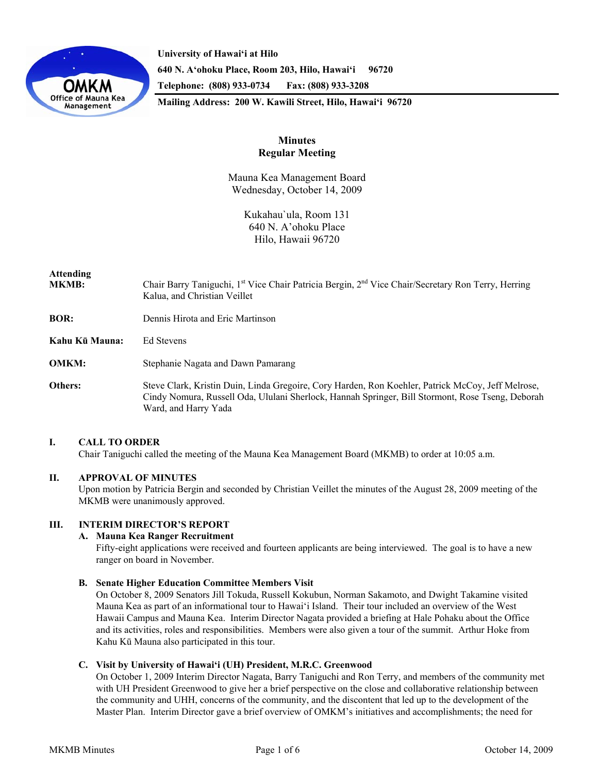

**University of Hawai'i at Hilo 640 N. A'ohoku Place, Room 203, Hilo, Hawai'i 96720 Telephone: (808) 933-0734 Fax: (808) 933-3208 Mailing Address: 200 W. Kawili Street, Hilo, Hawai'i 96720** 

# **Minutes Regular Meeting**

Mauna Kea Management Board Wednesday, October 14, 2009

> Kukahau`ula, Room 131 640 N. A'ohoku Place Hilo, Hawaii 96720

# **Attending**

- **MKMB:** Chair Barry Taniguchi, 1<sup>st</sup> Vice Chair Patricia Bergin, 2<sup>nd</sup> Vice Chair/Secretary Ron Terry, Herring Kalua, and Christian Veillet
- **BOR:** Dennis Hirota and Eric Martinson
- **Kahu Kū Mauna:** Ed Stevens
- **OMKM:** Stephanie Nagata and Dawn Pamarang
- **Others:** Steve Clark, Kristin Duin, Linda Gregoire, Cory Harden, Ron Koehler, Patrick McCoy, Jeff Melrose, Cindy Nomura, Russell Oda, Ululani Sherlock, Hannah Springer, Bill Stormont, Rose Tseng, Deborah Ward, and Harry Yada

# **I. CALL TO ORDER**

Chair Taniguchi called the meeting of the Mauna Kea Management Board (MKMB) to order at 10:05 a.m.

# **II. APPROVAL OF MINUTES**

Upon motion by Patricia Bergin and seconded by Christian Veillet the minutes of the August 28, 2009 meeting of the MKMB were unanimously approved.

# **III. INTERIM DIRECTOR'S REPORT**

# **A. Mauna Kea Ranger Recruitment**

Fifty-eight applications were received and fourteen applicants are being interviewed. The goal is to have a new ranger on board in November.

**B. Senate Higher Education Committee Members Visit** 

On October 8, 2009 Senators Jill Tokuda, Russell Kokubun, Norman Sakamoto, and Dwight Takamine visited Mauna Kea as part of an informational tour to Hawai'i Island. Their tour included an overview of the West Hawaii Campus and Mauna Kea. Interim Director Nagata provided a briefing at Hale Pohaku about the Office and its activities, roles and responsibilities. Members were also given a tour of the summit. Arthur Hoke from Kahu Kū Mauna also participated in this tour.

# **C. Visit by University of Hawai'i (UH) President, M.R.C. Greenwood**

On October 1, 2009 Interim Director Nagata, Barry Taniguchi and Ron Terry, and members of the community met with UH President Greenwood to give her a brief perspective on the close and collaborative relationship between the community and UHH, concerns of the community, and the discontent that led up to the development of the Master Plan. Interim Director gave a brief overview of OMKM's initiatives and accomplishments; the need for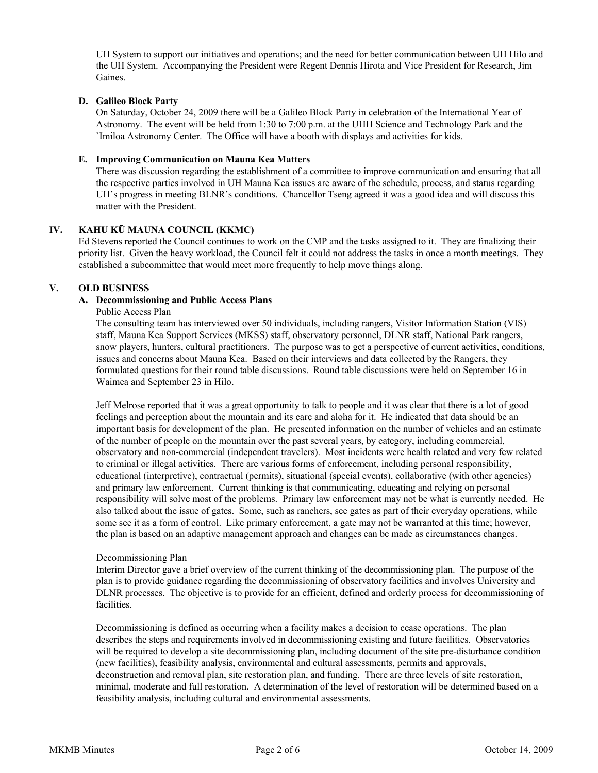UH System to support our initiatives and operations; and the need for better communication between UH Hilo and the UH System. Accompanying the President were Regent Dennis Hirota and Vice President for Research, Jim Gaines.

# **D. Galileo Block Party**

On Saturday, October 24, 2009 there will be a Galileo Block Party in celebration of the International Year of Astronomy. The event will be held from 1:30 to 7:00 p.m. at the UHH Science and Technology Park and the `Imiloa Astronomy Center. The Office will have a booth with displays and activities for kids.

#### **E. Improving Communication on Mauna Kea Matters**

There was discussion regarding the establishment of a committee to improve communication and ensuring that all the respective parties involved in UH Mauna Kea issues are aware of the schedule, process, and status regarding UH's progress in meeting BLNR's conditions. Chancellor Tseng agreed it was a good idea and will discuss this matter with the President.

# **IV. KAHU KŪ MAUNA COUNCIL (KKMC)**

Ed Stevens reported the Council continues to work on the CMP and the tasks assigned to it. They are finalizing their priority list. Given the heavy workload, the Council felt it could not address the tasks in once a month meetings. They established a subcommittee that would meet more frequently to help move things along.

# **V. OLD BUSINESS**

# **A. Decommissioning and Public Access Plans**

# Public Access Plan

The consulting team has interviewed over 50 individuals, including rangers, Visitor Information Station (VIS) staff, Mauna Kea Support Services (MKSS) staff, observatory personnel, DLNR staff, National Park rangers, snow players, hunters, cultural practitioners. The purpose was to get a perspective of current activities, conditions, issues and concerns about Mauna Kea. Based on their interviews and data collected by the Rangers, they formulated questions for their round table discussions. Round table discussions were held on September 16 in Waimea and September 23 in Hilo.

Jeff Melrose reported that it was a great opportunity to talk to people and it was clear that there is a lot of good feelings and perception about the mountain and its care and aloha for it. He indicated that data should be an important basis for development of the plan. He presented information on the number of vehicles and an estimate of the number of people on the mountain over the past several years, by category, including commercial, observatory and non-commercial (independent travelers). Most incidents were health related and very few related to criminal or illegal activities. There are various forms of enforcement, including personal responsibility, educational (interpretive), contractual (permits), situational (special events), collaborative (with other agencies) and primary law enforcement. Current thinking is that communicating, educating and relying on personal responsibility will solve most of the problems. Primary law enforcement may not be what is currently needed. He also talked about the issue of gates. Some, such as ranchers, see gates as part of their everyday operations, while some see it as a form of control. Like primary enforcement, a gate may not be warranted at this time; however, the plan is based on an adaptive management approach and changes can be made as circumstances changes.

#### Decommissioning Plan

Interim Director gave a brief overview of the current thinking of the decommissioning plan. The purpose of the plan is to provide guidance regarding the decommissioning of observatory facilities and involves University and DLNR processes. The objective is to provide for an efficient, defined and orderly process for decommissioning of facilities.

Decommissioning is defined as occurring when a facility makes a decision to cease operations. The plan describes the steps and requirements involved in decommissioning existing and future facilities. Observatories will be required to develop a site decommissioning plan, including document of the site pre-disturbance condition (new facilities), feasibility analysis, environmental and cultural assessments, permits and approvals, deconstruction and removal plan, site restoration plan, and funding. There are three levels of site restoration, minimal, moderate and full restoration. A determination of the level of restoration will be determined based on a feasibility analysis, including cultural and environmental assessments.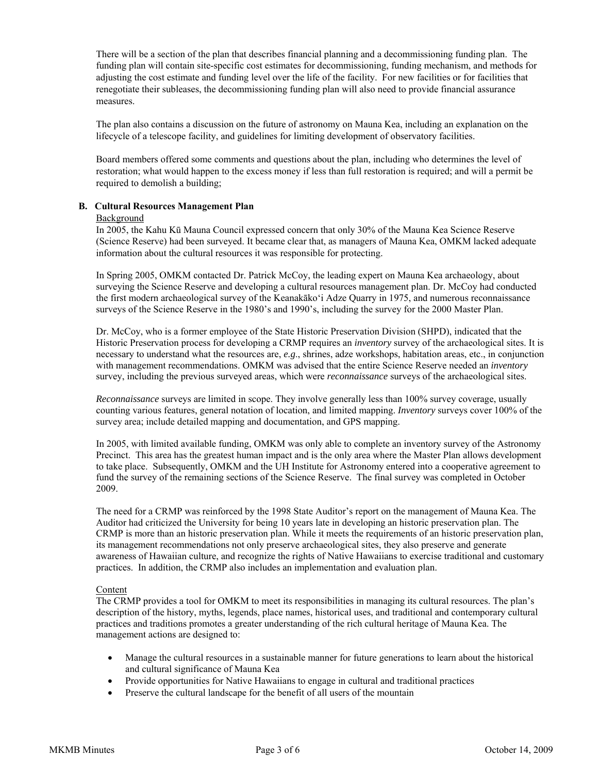There will be a section of the plan that describes financial planning and a decommissioning funding plan. The funding plan will contain site-specific cost estimates for decommissioning, funding mechanism, and methods for adjusting the cost estimate and funding level over the life of the facility. For new facilities or for facilities that renegotiate their subleases, the decommissioning funding plan will also need to provide financial assurance measures.

The plan also contains a discussion on the future of astronomy on Mauna Kea, including an explanation on the lifecycle of a telescope facility, and guidelines for limiting development of observatory facilities.

Board members offered some comments and questions about the plan, including who determines the level of restoration; what would happen to the excess money if less than full restoration is required; and will a permit be required to demolish a building;

#### **B. Cultural Resources Management Plan**

#### Background

In 2005, the Kahu Kū Mauna Council expressed concern that only 30% of the Mauna Kea Science Reserve (Science Reserve) had been surveyed. It became clear that, as managers of Mauna Kea, OMKM lacked adequate information about the cultural resources it was responsible for protecting.

In Spring 2005, OMKM contacted Dr. Patrick McCoy, the leading expert on Mauna Kea archaeology, about surveying the Science Reserve and developing a cultural resources management plan. Dr. McCoy had conducted the first modern archaeological survey of the Keanakāko'i Adze Quarry in 1975, and numerous reconnaissance surveys of the Science Reserve in the 1980's and 1990's, including the survey for the 2000 Master Plan.

Dr. McCoy, who is a former employee of the State Historic Preservation Division (SHPD), indicated that the Historic Preservation process for developing a CRMP requires an *inventory* survey of the archaeological sites. It is necessary to understand what the resources are, *e.g*., shrines, adze workshops, habitation areas, etc., in conjunction with management recommendations. OMKM was advised that the entire Science Reserve needed an *inventory* survey, including the previous surveyed areas, which were *reconnaissance* surveys of the archaeological sites.

*Reconnaissance* surveys are limited in scope. They involve generally less than 100% survey coverage, usually counting various features, general notation of location, and limited mapping. *Inventory* surveys cover 100% of the survey area; include detailed mapping and documentation, and GPS mapping.

In 2005, with limited available funding, OMKM was only able to complete an inventory survey of the Astronomy Precinct. This area has the greatest human impact and is the only area where the Master Plan allows development to take place. Subsequently, OMKM and the UH Institute for Astronomy entered into a cooperative agreement to fund the survey of the remaining sections of the Science Reserve. The final survey was completed in October 2009.

The need for a CRMP was reinforced by the 1998 State Auditor's report on the management of Mauna Kea. The Auditor had criticized the University for being 10 years late in developing an historic preservation plan. The CRMP is more than an historic preservation plan. While it meets the requirements of an historic preservation plan, its management recommendations not only preserve archaeological sites, they also preserve and generate awareness of Hawaiian culture, and recognize the rights of Native Hawaiians to exercise traditional and customary practices. In addition, the CRMP also includes an implementation and evaluation plan.

#### Content

The CRMP provides a tool for OMKM to meet its responsibilities in managing its cultural resources. The plan's description of the history, myths, legends, place names, historical uses, and traditional and contemporary cultural practices and traditions promotes a greater understanding of the rich cultural heritage of Mauna Kea. The management actions are designed to:

- Manage the cultural resources in a sustainable manner for future generations to learn about the historical and cultural significance of Mauna Kea
- Provide opportunities for Native Hawaiians to engage in cultural and traditional practices
- Preserve the cultural landscape for the benefit of all users of the mountain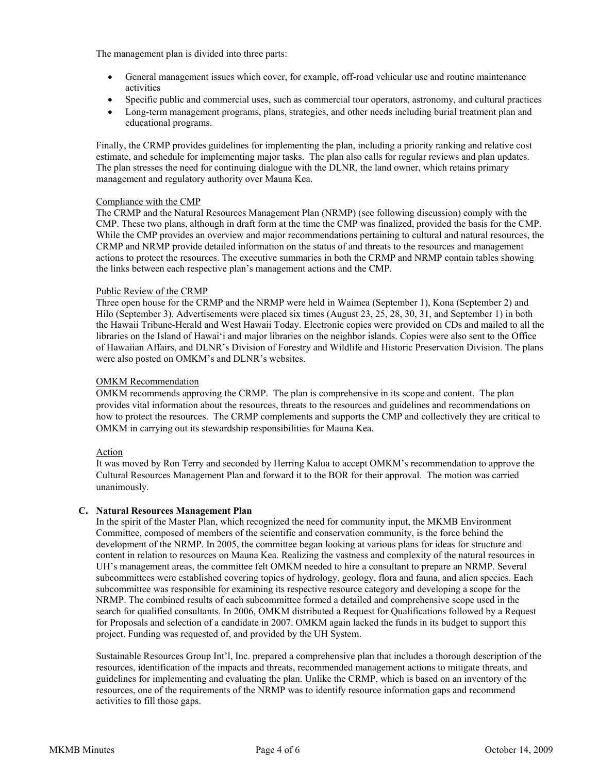The management plan is divided into three parts:

- General management issues which cover, for example, off-road vehicular use and routine maintenance activities
- Specific public and commercial uses, such as commercial tour operators, astronomy, and cultural practices
- Long-term management programs, plans, strategies, and other needs including burial treatment plan and educational programs.

Finally, the CRMP provides guidelines for implementing the plan, including a priority ranking and relative cost estimate, and schedule for implementing major tasks. The plan also calls for regular reviews and plan updates. The plan stresses the need for continuing dialogue with the DLNR, the land owner, which retains primary management and regulatory authority over Mauna Kea.

# Compliance with the CMP

The CRMP and the Natural Resources Management Plan (NRMP) (see following discussion) comply with the CMP. These two plans, although in draft form at the time the CMP was finalized, provided the basis for the CMP. While the CMP provides an overview and major recommendations pertaining to cultural and natural resources, the CRMP and NRMP provide detailed information on the status of and threats to the resources and management actions to protect the resources. The executive summaries in both the CRMP and NRMP contain tables showing the links between each respective plan's management actions and the CMP.

#### Public Review of the CRMP

Three open house for the CRMP and the NRMP were held in Waimea (September 1), Kona (September 2) and Hilo (September 3). Advertisements were placed six times (August 23, 25, 28, 30, 31, and September 1) in both the Hawaii Tribune-Herald and West Hawaii Today. Electronic copies were provided on CDs and mailed to all the libraries on the Island of Hawai'i and major libraries on the neighbor islands. Copies were also sent to the Office of Hawaiian Affairs, and DLNR's Division of Forestry and Wildlife and Historic Preservation Division. The plans were also posted on OMKM's and DLNR's websites.

#### OMKM Recommendation

OMKM recommends approving the CRMP. The plan is comprehensive in its scope and content. The plan provides vital information about the resources, threats to the resources and guidelines and recommendations on how to protect the resources. The CRMP complements and supports the CMP and collectively they are critical to OMKM in carrying out its stewardship responsibilities for Mauna Kea.

# Action

It was moved by Ron Terry and seconded by Herring Kalua to accept OMKM's recommendation to approve the Cultural Resources Management Plan and forward it to the BOR for their approval. The motion was carried unanimously.

#### **C. Natural Resources Management Plan**

In the spirit of the Master Plan, which recognized the need for community input, the MKMB Environment Committee, composed of members of the scientific and conservation community, is the force behind the development of the NRMP. In 2005, the committee began looking at various plans for ideas for structure and content in relation to resources on Mauna Kea. Realizing the vastness and complexity of the natural resources in UH's management areas, the committee felt OMKM needed to hire a consultant to prepare an NRMP. Several subcommittees were established covering topics of hydrology, geology, flora and fauna, and alien species. Each subcommittee was responsible for examining its respective resource category and developing a scope for the NRMP. The combined results of each subcommittee formed a detailed and comprehensive scope used in the search for qualified consultants. In 2006, OMKM distributed a Request for Qualifications followed by a Request for Proposals and selection of a candidate in 2007. OMKM again lacked the funds in its budget to support this project. Funding was requested of, and provided by the UH System.

Sustainable Resources Group Int'l, Inc. prepared a comprehensive plan that includes a thorough description of the resources, identification of the impacts and threats, recommended management actions to mitigate threats, and guidelines for implementing and evaluating the plan. Unlike the CRMP, which is based on an inventory of the resources, one of the requirements of the NRMP was to identify resource information gaps and recommend activities to fill those gaps.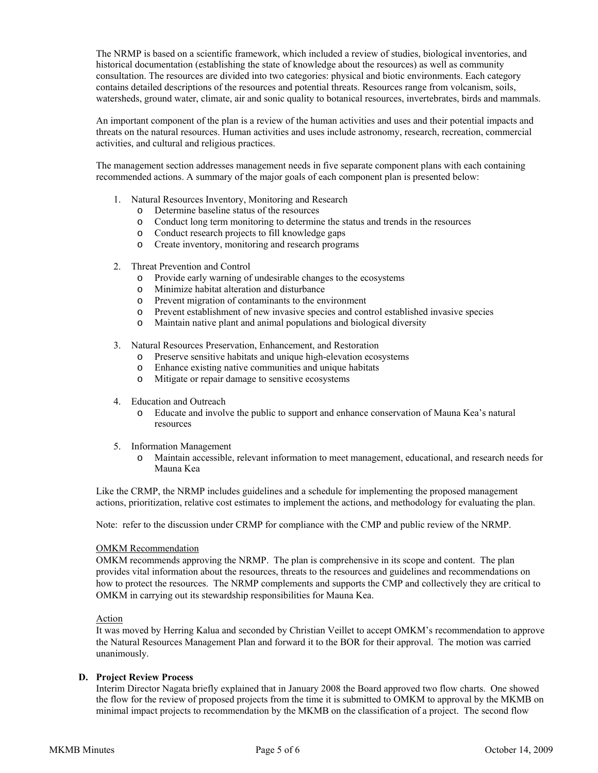The NRMP is based on a scientific framework, which included a review of studies, biological inventories, and historical documentation (establishing the state of knowledge about the resources) as well as community consultation. The resources are divided into two categories: physical and biotic environments. Each category contains detailed descriptions of the resources and potential threats. Resources range from volcanism, soils, watersheds, ground water, climate, air and sonic quality to botanical resources, invertebrates, birds and mammals.

An important component of the plan is a review of the human activities and uses and their potential impacts and threats on the natural resources. Human activities and uses include astronomy, research, recreation, commercial activities, and cultural and religious practices.

The management section addresses management needs in five separate component plans with each containing recommended actions. A summary of the major goals of each component plan is presented below:

- 1. Natural Resources Inventory, Monitoring and Research
	- o Determine baseline status of the resources
	- o Conduct long term monitoring to determine the status and trends in the resources
	- o Conduct research projects to fill knowledge gaps
	- o Create inventory, monitoring and research programs
- 2. Threat Prevention and Control
	- o Provide early warning of undesirable changes to the ecosystems
	- o Minimize habitat alteration and disturbance
	- o Prevent migration of contaminants to the environment
	- o Prevent establishment of new invasive species and control established invasive species
	- o Maintain native plant and animal populations and biological diversity
- 3. Natural Resources Preservation, Enhancement, and Restoration
	- o Preserve sensitive habitats and unique high-elevation ecosystems
	- o Enhance existing native communities and unique habitats
	- o Mitigate or repair damage to sensitive ecosystems
- 4. Education and Outreach
	- o Educate and involve the public to support and enhance conservation of Mauna Kea's natural resources
- 5. Information Management
	- o Maintain accessible, relevant information to meet management, educational, and research needs for Mauna Kea

Like the CRMP, the NRMP includes guidelines and a schedule for implementing the proposed management actions, prioritization, relative cost estimates to implement the actions, and methodology for evaluating the plan.

Note: refer to the discussion under CRMP for compliance with the CMP and public review of the NRMP.

#### OMKM Recommendation

OMKM recommends approving the NRMP. The plan is comprehensive in its scope and content. The plan provides vital information about the resources, threats to the resources and guidelines and recommendations on how to protect the resources. The NRMP complements and supports the CMP and collectively they are critical to OMKM in carrying out its stewardship responsibilities for Mauna Kea.

#### Action

It was moved by Herring Kalua and seconded by Christian Veillet to accept OMKM's recommendation to approve the Natural Resources Management Plan and forward it to the BOR for their approval. The motion was carried unanimously.

# **D. Project Review Process**

Interim Director Nagata briefly explained that in January 2008 the Board approved two flow charts. One showed the flow for the review of proposed projects from the time it is submitted to OMKM to approval by the MKMB on minimal impact projects to recommendation by the MKMB on the classification of a project. The second flow